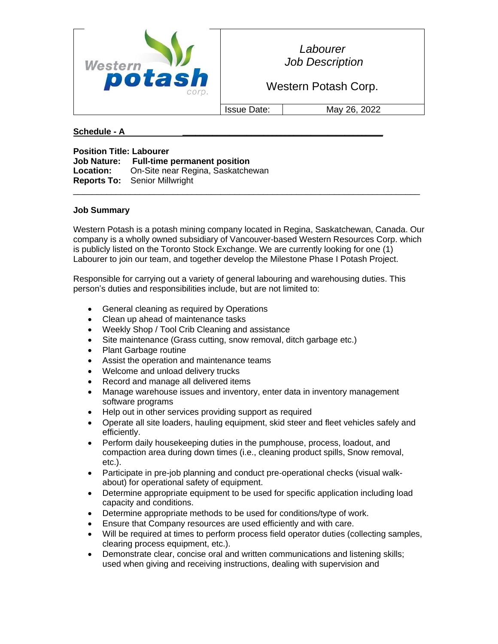

*Labourer Job Description*

Western Potash Corp.

Issue Date: May 26, 2022

## **Schedule - A \_\_\_\_\_\_\_\_\_\_\_\_\_\_\_\_\_\_\_\_\_\_\_\_\_\_\_\_\_\_\_\_\_\_\_\_\_\_\_\_\_\_\_\_\_\_\_**

**Position Title: Labourer Job Nature: Full-time permanent position Location:** On-Site near Regina, Saskatchewan **Reports To:** Senior Millwright

## **Job Summary**

Western Potash is a potash mining company located in Regina, Saskatchewan, Canada. Our company is a wholly owned subsidiary of Vancouver-based Western Resources Corp. which is publicly listed on the Toronto Stock Exchange. We are currently looking for one (1) Labourer to join our team, and together develop the Milestone Phase I Potash Project.

 $\_$  ,  $\_$  ,  $\_$  ,  $\_$  ,  $\_$  ,  $\_$  ,  $\_$  ,  $\_$  ,  $\_$  ,  $\_$  ,  $\_$  ,  $\_$  ,  $\_$  ,  $\_$  ,  $\_$  ,  $\_$  ,  $\_$  ,  $\_$  ,  $\_$  ,  $\_$  ,  $\_$  ,  $\_$  ,  $\_$  ,  $\_$  ,  $\_$  ,  $\_$  ,  $\_$  ,  $\_$  ,  $\_$  ,  $\_$  ,  $\_$  ,  $\_$  ,  $\_$  ,  $\_$  ,  $\_$  ,  $\_$  ,  $\_$  ,

Responsible for carrying out a variety of general labouring and warehousing duties. This person's duties and responsibilities include, but are not limited to:

- General cleaning as required by Operations
- Clean up ahead of maintenance tasks
- Weekly Shop / Tool Crib Cleaning and assistance
- Site maintenance (Grass cutting, snow removal, ditch garbage etc.)
- Plant Garbage routine
- Assist the operation and maintenance teams
- Welcome and unload delivery trucks
- Record and manage all delivered items
- Manage warehouse issues and inventory, enter data in inventory management software programs
- Help out in other services providing support as required
- Operate all site loaders, hauling equipment, skid steer and fleet vehicles safely and efficiently.
- Perform daily housekeeping duties in the pumphouse, process, loadout, and compaction area during down times (i.e., cleaning product spills, Snow removal, etc.).
- Participate in pre-job planning and conduct pre-operational checks (visual walkabout) for operational safety of equipment.
- Determine appropriate equipment to be used for specific application including load capacity and conditions.
- Determine appropriate methods to be used for conditions/type of work.
- Ensure that Company resources are used efficiently and with care.
- Will be required at times to perform process field operator duties (collecting samples, clearing process equipment, etc.).
- Demonstrate clear, concise oral and written communications and listening skills; used when giving and receiving instructions, dealing with supervision and